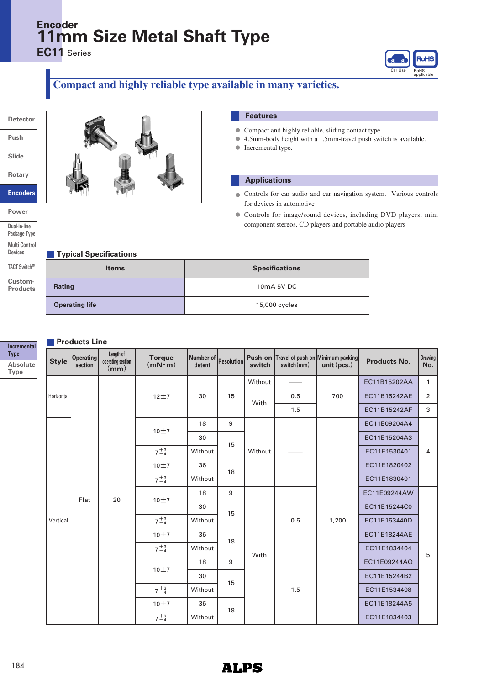## **11mm Size Metal Shaft Type Encoder**

**EC11** Series



## **Compact and highly reliable type available in many varieties.**

**Detector**

**Push**

**Slide**

**Rotary**

**Encoders**

**Power**

**Dual-in-line Package Type Multi Control Devices TACT SwitchTM Custom-**

**Products**



### **Features**

- Compact and highly reliable, sliding contact type. **●**
- 4.5mm-body height with a 1.5mm-travel push switch is available.
- **●** Incremental type.

#### **Applications**

- Controls for car audio and car navigation system. Various controls **●** for devices in automotive
- Controls for image/sound devices, including DVD players, mini component stereos, CD players and portable audio players

#### **Typical Specifications**

| <b>Items</b>          | <b>Specifications</b> |  |  |  |  |  |  |
|-----------------------|-----------------------|--|--|--|--|--|--|
| Rating                | 10mA 5V DC            |  |  |  |  |  |  |
| <b>Operating life</b> | 15,000 cycles         |  |  |  |  |  |  |

#### **Products Line**

|                                                              | <b>Products Line</b> |                      |                                                                     |                                 |                            |                   |                   |               |                                                    |                                              |                |  |
|--------------------------------------------------------------|----------------------|----------------------|---------------------------------------------------------------------|---------------------------------|----------------------------|-------------------|-------------------|---------------|----------------------------------------------------|----------------------------------------------|----------------|--|
| Incremental<br><b>Type</b><br><b>Absolute</b><br><b>Type</b> | <b>Style</b>         | Operating<br>section | Length of<br>operating section<br>$\overline{\mathsf{m}\mathsf{m}}$ | <b>Torque</b><br>$(mN \cdot m)$ | <b>Number of</b><br>detent | <b>Resolution</b> | Push-on<br>switch | switch $(mm)$ | Travel of push-on Minimum packing<br>unit $(pcs.)$ | <b>Products No.</b>                          | Drawing<br>No. |  |
|                                                              |                      |                      |                                                                     |                                 |                            |                   | Without           |               |                                                    | EC11B15202AA                                 | $\mathbf{1}$   |  |
|                                                              | Horizontal           |                      |                                                                     | $12+7$                          | 30                         | 15                | With              | 0.5           | 700                                                | EC11B15242AE                                 | $\overline{2}$ |  |
|                                                              |                      |                      |                                                                     |                                 |                            |                   |                   | 1.5           |                                                    | EC11B15242AF                                 | 3              |  |
|                                                              |                      |                      |                                                                     | 10±7                            | 18                         | 9                 |                   |               |                                                    | EC11E09204A4                                 |                |  |
|                                                              |                      |                      |                                                                     |                                 | 30                         | 15                |                   |               |                                                    | EC11E15204A3                                 |                |  |
|                                                              |                      |                      |                                                                     | $7^{+3}_{-4}$                   | Without                    |                   | Without           |               |                                                    | EC11E1530401<br>EC11E1820402<br>EC11E1830401 | 4              |  |
|                                                              |                      |                      |                                                                     | 10±7                            | 36<br>18                   |                   |                   |               |                                                    |                                              |                |  |
|                                                              |                      |                      |                                                                     | $7^{+3}_{-4}$<br>Without        |                            |                   |                   |               |                                                    |                                              |                |  |
|                                                              |                      | Flat                 | 20                                                                  | 10±7                            | 18                         | 9                 | 15                | 0.5           | 1,200                                              | EC11E09244AW                                 |                |  |
|                                                              |                      |                      |                                                                     |                                 | 30                         |                   |                   |               |                                                    | EC11E15244C0                                 |                |  |
|                                                              | Vertical             |                      |                                                                     | $7^{+3}_{-4}$                   | Without                    |                   |                   |               |                                                    | EC11E153440D                                 |                |  |
|                                                              |                      |                      |                                                                     | 10±7                            | 36                         | 18                |                   |               |                                                    | EC11E18244AE                                 |                |  |
|                                                              |                      |                      |                                                                     | $7^{+3}_{-4}$                   | Without                    |                   | With              |               |                                                    | EC11E1834404                                 | 5              |  |
|                                                              |                      |                      |                                                                     | 10±7                            | 18                         | 9                 |                   |               |                                                    | EC11E09244AQ                                 |                |  |
|                                                              |                      |                      |                                                                     |                                 | 30                         | 15                |                   |               |                                                    | EC11E15244B2                                 |                |  |
|                                                              |                      |                      |                                                                     | $7^{+3}_{-4}$                   | Without                    |                   |                   | 1.5           |                                                    | EC11E1534408                                 |                |  |
|                                                              |                      |                      |                                                                     | 10±7                            | 36                         | 18                |                   |               |                                                    | EC11E18244A5                                 |                |  |
|                                                              |                      |                      |                                                                     | $7^{+3}_{-4}$                   | Without                    |                   |                   |               |                                                    | EC11E1834403                                 |                |  |

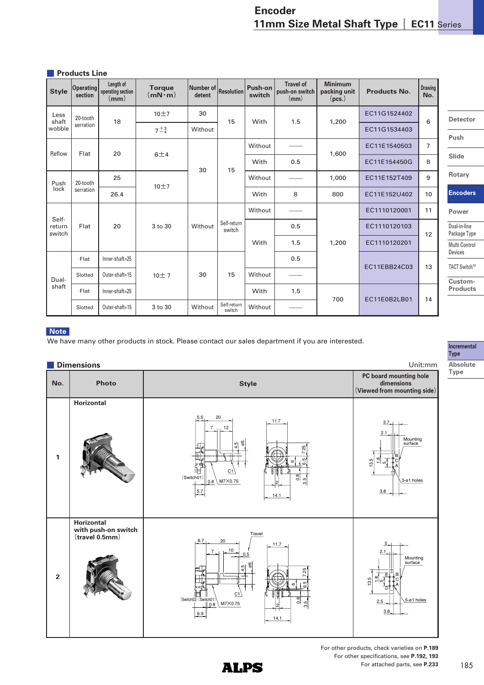#### **Products Line**

| <b>Style</b>              | Operating<br>section | Length of<br>operating section<br>$\mathsf{(mm)}$ | <b>Torque</b><br>$(mN \cdot m)$ | Number of Resolution<br>detent |                       | Push-on<br>switch | <b>Travel of</b><br>push-on switch<br>(mm) | <b>Minimum</b><br>packing unit<br>(pcs.) | <b>Products No.</b> | <b>Drawing</b><br>No. |                              |         |  |       |              |   |        |  |  |  |  |  |  |  |      |     |       |              |  |
|---------------------------|----------------------|---------------------------------------------------|---------------------------------|--------------------------------|-----------------------|-------------------|--------------------------------------------|------------------------------------------|---------------------|-----------------------|------------------------------|---------|--|-------|--------------|---|--------|--|--|--|--|--|--|--|------|-----|-------|--------------|--|
| Less<br>shaft             | 20-tooth             | 18                                                | 10±7                            | 30                             | 15                    | With              | 1.5                                        | 1,200                                    | EC11G1524402        | 6                     | <b>Detector</b>              |         |  |       |              |   |        |  |  |  |  |  |  |  |      |     |       |              |  |
| wobble                    | serration            |                                                   | $7^{+3}_{-4}$                   | Without                        |                       |                   |                                            |                                          | EC11G1534403        |                       | Push                         |         |  |       |              |   |        |  |  |  |  |  |  |  |      |     |       |              |  |
|                           |                      |                                                   |                                 |                                | Without               |                   |                                            | EC11E1540503                             | $\overline{7}$      |                       |                              |         |  |       |              |   |        |  |  |  |  |  |  |  |      |     |       |              |  |
| Reflow                    | Flat                 | 20                                                | 6±4                             |                                |                       | With              | 0.5                                        | 1,600                                    | EC11E154450G        | 8                     | Slide                        |         |  |       |              |   |        |  |  |  |  |  |  |  |      |     |       |              |  |
| Push                      | 20-tooth             | 25                                                |                                 |                                |                       |                   | 30                                         |                                          |                     |                       | 15                           | Without |  | 1,000 | EC11E152T409 | 9 | Rotary |  |  |  |  |  |  |  |      |     |       |              |  |
| lock                      | serration            | 26.4                                              | 10±7                            |                                |                       | With              | 8                                          | 800                                      | EC11E152U402        | 10                    | <b>Encoders</b>              |         |  |       |              |   |        |  |  |  |  |  |  |  |      |     |       |              |  |
|                           |                      |                                                   |                                 |                                |                       | Without           |                                            |                                          | EC1110120001        | 11                    | Power                        |         |  |       |              |   |        |  |  |  |  |  |  |  |      |     |       |              |  |
| Self-<br>return<br>switch | Flat                 | 20                                                | 3 to 30                         | Without                        | Self-return<br>switch |                   | 0.5                                        |                                          | EC1110120103        | 12                    | Dual-in-line<br>Package Type |         |  |       |              |   |        |  |  |  |  |  |  |  |      |     |       |              |  |
|                           |                      |                                                   |                                 |                                |                       |                   |                                            |                                          |                     |                       |                              |         |  |       |              |   |        |  |  |  |  |  |  |  | With | 1.5 | 1,200 | EC1110120201 |  |
|                           | Flat                 | Inner-shaft=25                                    |                                 |                                |                       |                   | 0.5                                        |                                          |                     |                       | <b>Devices</b>               |         |  |       |              |   |        |  |  |  |  |  |  |  |      |     |       |              |  |
| Dual-                     | Slotted              | Outer-shaft=15                                    | 10±7                            | 30                             | 15                    | Without           |                                            |                                          | EC11EBB24C03        | 13                    | TACT Switch™<br>Custom-      |         |  |       |              |   |        |  |  |  |  |  |  |  |      |     |       |              |  |
| shaft                     | Flat                 | Inner-shaft=25                                    |                                 |                                |                       | With              | 1.5                                        |                                          |                     |                       | <b>Products</b>              |         |  |       |              |   |        |  |  |  |  |  |  |  |      |     |       |              |  |
|                           | Slotted              | Outer-shaft=15                                    | 3 to 30                         | Without                        | Self-return<br>switch | Without           |                                            | 700                                      | EC11E0B2LB01        | 14                    |                              |         |  |       |              |   |        |  |  |  |  |  |  |  |      |     |       |              |  |

#### **Note**

We have many other products in stock. Please contact our sales department if you are interested.

#### **Dimensions** Unit:mm **PC board mounting hole No. Photo Style dimensions (Viewed from mounting side) Horizontal** 5.5 20 11.7  $\frac{3.7}{1}$ <br> $\frac{1}{61}$ 7 12 2.1 Mounting surface ø6 م.<br>4 7.25 **1** B 13.5  $\frac{80}{11}$ م.<br>ت C ທ A IE. C<sup>-</sup> (Switch01) 0.8  $M7X0.75$ 3-ø1 holes .<br>თ 0.8 2 5.7 3.8 14.1 **Horizontal with push-on switch** Travel **(travel 0.5mm)** 6.7 20  $\frac{5}{1}$ 11.7  $\frac{10}{\sqrt{0.5}}$ 7 2.1 Mounting surface န္တ 4.5 7.25 **2** E B 13.5  $\frac{8}{1}$ C ഗ 6.5 A  $^{\circ}$ D 眉 C1  $2.5$   $\bigcup$  5-ø1 holes .<br>ი (Switch02) (Switch01)  $M7X0.75$ 0.8 .<br>თ 2 3.8 6.9  $14.1$

**Incremental Type Absolute Type**

For other products, check varieties on **P.189** For other specifications, see **P.192, 193** For attached parts, see **P.233**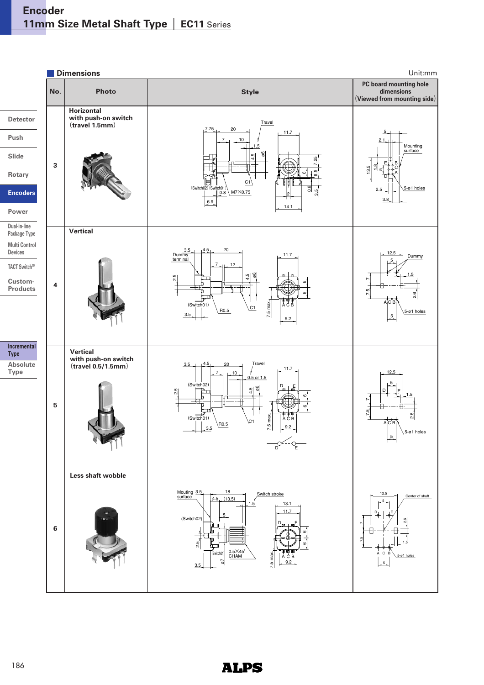**Dimensions** Unit:mm **PC board mounting hole No. Photo Style dimensions (Viewed from mounting side) Horizontal Detector with push-on switch** Travel **(travel 1.5mm)** 7.75 20  $\frac{5}{1}$ 11.7 **Push** 7 10 2.1 Mounting 1.5 surface **Slide** န္တ 4.5 7.25 **3** E B  $\frac{8}{1}$ 13.5 C ம **Rotary** 6.5 A D C1  $(Sw)$ 2.5  $\Big|\Big|$   $\frac{5-01 \text{ holes}}{5}$ 0.8 **Encoders**  $M7X0.75$ .<br>თ 0.8 2 3.8 6.9 14.1 **Power Dual-in-line Vertical Package Type Multi Control Devices** 3.5 4.5 20 Du  $\frac{12.5}{ }$  Dummy 11.7 terminal 5 7 12 **TACT SwitchTM** ø6 1.5 4.5 م.<br>ن **Custom-** $\overline{\phantom{0}}$ **4 Products** 7.5 ເດ .<br>م A<sub>l</sub>C'B 7.5 max. (Switch01) A C B C1  $\begin{array}{|c|c|c|c|c|}\n\hline\n3.5 & & \text{R0.5}\n\end{array}$ 5-ø1 holes 5 9.2 **Incremental Vertical Type with push-on switch Absolute**  Travel  $3.$ 4.5 20 **(travel 0.5/1.5mm)**  $7$ <sub>-1</sub> 10,  $\frac{11.7}{2}$ **Type**  $\frac{10}{9.5}$  or 1.5 12.5 5 (Switch02) ø6  $D_{1} + E$ 4.5 .<br>ა Dļ LE 1.5ဖ  $\overline{\phantom{0}}$ **5** 7.5 .<br>م 7.5 max.  $(01)$ A C B  $\overline{C}$ 1  $rac{1}{3.5}$  RO.5 A C B 9.2 holes 5  $\begin{array}{c}\n\begin{array}{c}\n\bigcirc \\
\hline\n0\n\end{array} & \begin{array}{c}\n\bigcirc \\
\hline\n\end{array} \\
\hline\n\end{array}$ **Less shaft wobble** Mouting  $3.5$   $18$ 3.5 Switch stroke 12.5 surfa Center of shaft  $(13.5)$ 4.5 5 1.5 13.1 11.7 D<sub>1</sub> | 」E (Switch02 2.6  $D_{mn}$   $\ldots$   $m$   $E$ 7.5 P **6** F ဖ 1.5 .<br>ა  $\begin{array}{|c|c|c|}\n\hline\n\text{(Switch01)} & 0.5\times45^\circ \\
\text{CHAM}\n\end{array}$ 7.5 max.  $AC$  B  $5$ -ø1 holes ACB ø7 9.2 5 3.5

## **ALPS**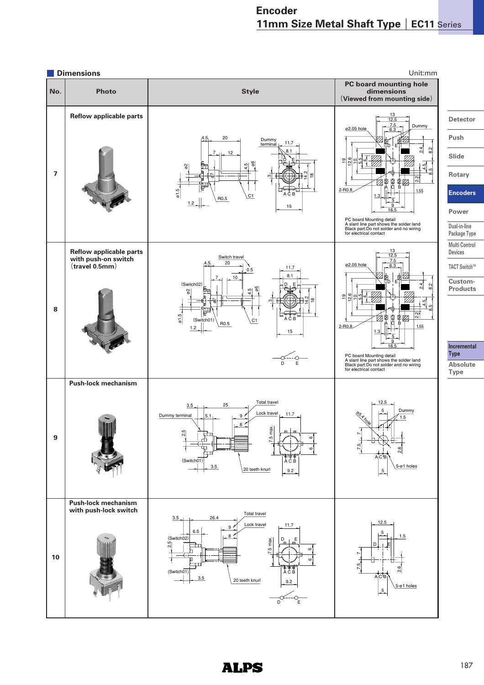

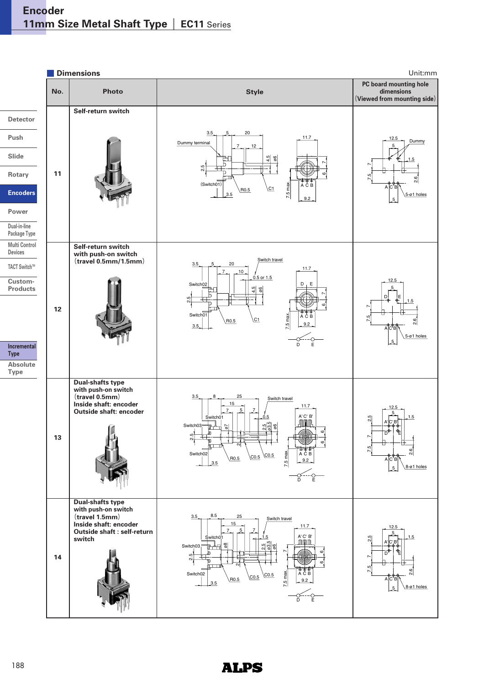

# **ALPS**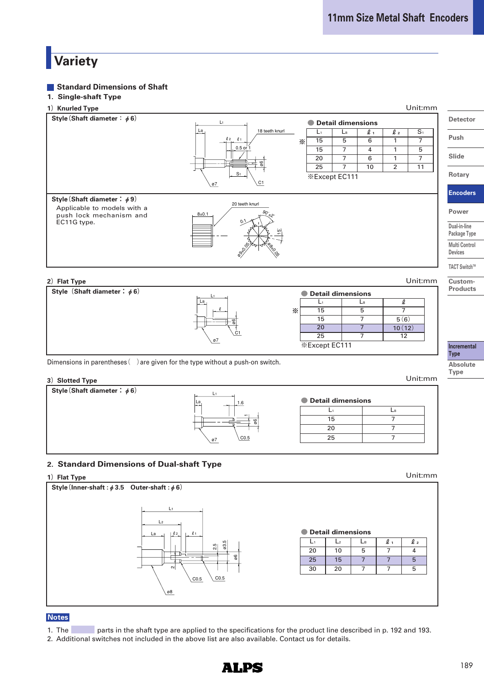# **Variety**

#### **Standard Dimensions of Shaft**

### **1. Single-shaft Type**





Dimensions in parentheses  $($ ) are given for the type without a push-on switch.

**<sup>3</sup>)Slotted Type** Unit:mm

**Style(Shaft diameter:**φ**6)**





#### **2. Standard Dimensions of Dual-shaft Type**



#### **Notes**

1. The parts in the shaft type are applied to the specifications for the product line described in p. 192 and 193.

NHDS

2. Additional switches not included in the above list are also available. Contact us for details.

**Incremental Type Absolute Type**

**Custom-Products**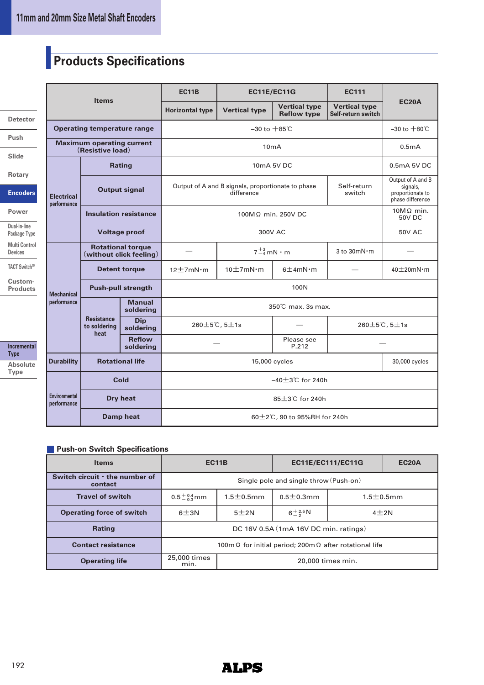# **Products Specifications**

| Detector        |
|-----------------|
| Push            |
| Slide           |
| Rotary          |
| <b>Encoders</b> |
| Power           |
| Dual-in-line    |

**Package Type Multi Control Devices TACT SwitchTM Custom-**

**Products**

**Incremental Type Absolute Type**

|                                                      |                                           | <b>EC11B</b><br><b>EC11E/EC11G</b>                  |                          |                                                                                          | <b>EC111</b>                               |                                            |                                   |  |  |  |
|------------------------------------------------------|-------------------------------------------|-----------------------------------------------------|--------------------------|------------------------------------------------------------------------------------------|--------------------------------------------|--------------------------------------------|-----------------------------------|--|--|--|
|                                                      | <b>Items</b>                              |                                                     | <b>Horizontal type</b>   | <b>Vertical type</b>                                                                     | <b>Vertical type</b><br><b>Reflow type</b> | <b>Vertical type</b><br>Self-return switch | <b>EC20A</b>                      |  |  |  |
|                                                      | <b>Operating temperature range</b>        |                                                     |                          | $-30$ to $+85^\circ$ C                                                                   |                                            |                                            |                                   |  |  |  |
| <b>Maximum operating current</b><br>(Resistive load) |                                           |                                                     |                          | 10mA                                                                                     |                                            |                                            |                                   |  |  |  |
|                                                      |                                           | <b>Rating</b>                                       |                          |                                                                                          | 10mA 5V DC                                 |                                            | 0.5mA 5V DC                       |  |  |  |
| <b>Electrical</b><br>performance                     |                                           | <b>Output signal</b>                                |                          | Output of A and B signals, proportionate to phase<br>Self-return<br>difference<br>switch |                                            |                                            |                                   |  |  |  |
|                                                      |                                           | <b>Insulation resistance</b>                        |                          |                                                                                          | 100MΩ min. 250V DC                         |                                            | $10M\Omega$ min.<br><b>50V DC</b> |  |  |  |
|                                                      |                                           | <b>Voltage proof</b>                                |                          | <b>50V AC</b>                                                                            |                                            |                                            |                                   |  |  |  |
|                                                      |                                           | <b>Rotational torque</b><br>(without click feeling) |                          |                                                                                          | $7^{+3}_{-4}$ mN $\cdot$ m                 | 3 to 30mN·m                                |                                   |  |  |  |
|                                                      | <b>Detent torque</b>                      |                                                     | $12 \pm 7$ m $N \cdot m$ | $10 \pm 7$ mN·m                                                                          | $6 \pm 4$ m $N \cdot m$                    |                                            | $40\pm20$ m $N \cdot m$           |  |  |  |
| <b>Mechanical</b>                                    | <b>Push-pull strength</b>                 |                                                     | 100N                     |                                                                                          |                                            |                                            |                                   |  |  |  |
| performance                                          |                                           | <b>Manual</b><br>soldering                          |                          |                                                                                          |                                            |                                            |                                   |  |  |  |
|                                                      | <b>Resistance</b><br>to soldering<br>heat | <b>Dip</b><br>soldering                             |                          | 260±5℃, 5±1s                                                                             |                                            |                                            | 260±5℃, 5±1s                      |  |  |  |
|                                                      |                                           | <b>Reflow</b><br>soldering                          |                          |                                                                                          | Please see<br>P.212                        |                                            |                                   |  |  |  |
| <b>Durability</b>                                    |                                           | <b>Rotational life</b>                              | 15,000 cycles            |                                                                                          |                                            |                                            | 30,000 cycles                     |  |  |  |
|                                                      | Cold                                      |                                                     | $-40\pm3$ °C for 240h    |                                                                                          |                                            |                                            |                                   |  |  |  |
| <b>Environmental</b><br>performance                  |                                           | Dry heat                                            |                          | 85±3℃ for 240h                                                                           |                                            |                                            |                                   |  |  |  |
|                                                      |                                           | <b>Damp heat</b>                                    |                          | 60±2℃, 90 to 95%RH for 240h                                                              |                                            |                                            |                                   |  |  |  |

#### **Push-on Switch Specifications**

| <b>Items</b>                                    | <b>EC11B</b>                                                          |                  | <b>EC11E/EC111/EC11G</b> | <b>EC20A</b>     |  |  |  |
|-------------------------------------------------|-----------------------------------------------------------------------|------------------|--------------------------|------------------|--|--|--|
| Switch circuit $\cdot$ the number of<br>contact | Single pole and single throw (Push-on)                                |                  |                          |                  |  |  |  |
| <b>Travel of switch</b>                         | $0.5^{+0.4}_{-0.3}$ mm                                                | $1.5 \pm 0.5$ mm | $0.5 \pm 0.3$ mm         | $1.5 \pm 0.5$ mm |  |  |  |
| <b>Operating force of switch</b>                | $6 + 3N$                                                              | 5±2N             | $6 + \frac{2.5}{2}N$     | $4\pm2N$         |  |  |  |
| <b>Rating</b>                                   | DC 16V 0.5A (1mA 16V DC min. ratings)                                 |                  |                          |                  |  |  |  |
| <b>Contact resistance</b>                       | 100m $\Omega$ for initial period; 200m $\Omega$ after rotational life |                  |                          |                  |  |  |  |
| <b>Operating life</b>                           | 25,000 times<br>20,000 times min.<br>min.                             |                  |                          |                  |  |  |  |

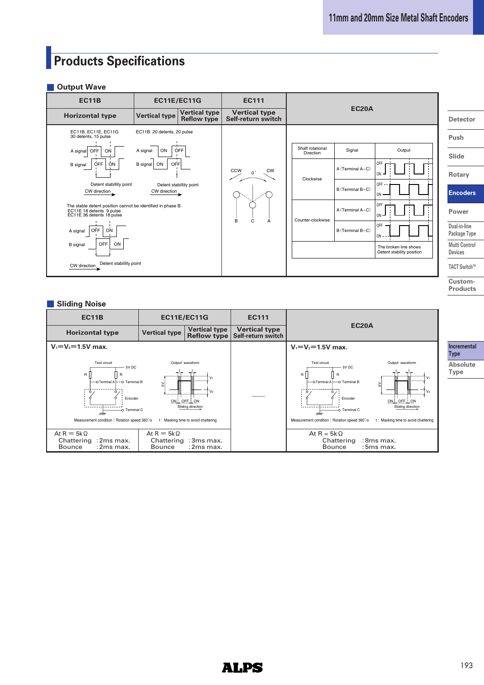# **Products Specifications**

#### **Output Wave**

| <b>EC11B</b>                                                                                                         | <b>EC11E/EC11G</b>         |                                            | <b>EC111</b>                               | <b>EC20A</b>                  |                  |                                                    |                                        |
|----------------------------------------------------------------------------------------------------------------------|----------------------------|--------------------------------------------|--------------------------------------------|-------------------------------|------------------|----------------------------------------------------|----------------------------------------|
| <b>Horizontal type</b>                                                                                               | <b>Vertical type</b>       | <b>Vertical type</b><br><b>Reflow type</b> | <b>Vertical type</b><br>Self-return switch |                               | <b>Detector</b>  |                                                    |                                        |
| EC11B, EC11E, EC11G<br>30 detents, 15 pulse                                                                          | EC11B 20 detents, 20 pulse |                                            |                                            |                               |                  |                                                    | Push                                   |
| OFF<br>ON<br>A signal                                                                                                | A signal<br>ON             | <b>OFF</b>                                 |                                            | Shaft rotational<br>Direction | Signal           | Output                                             | Slide                                  |
| OFF<br>ON<br><b>B</b> signal                                                                                         | B signal<br>OFF<br>ON      |                                            | <b>CCW</b><br><b>CW</b><br>n°              | Clockwise                     | A (Terminal A-C) | OFF<br>$ON -$                                      | Rotary                                 |
| Detent stabillity point<br>CW direction                                                                              | CW direction               | Detent stabillity point                    |                                            |                               | B (Terminal B-C) | OFF-<br>$ON$ –                                     | <b>Encoders</b>                        |
| The stable detent position cannot be identified in phase B.<br>EC11E 18 detents 9 pulse<br>EC11E 36 detents 18 pulse |                            |                                            |                                            |                               | A (Terminal A-C) | OFF<br>$ON -$                                      | Power                                  |
| OFF<br>ON<br>A signal                                                                                                |                            |                                            | B<br>C<br>A                                | Counter-clockwise             | B (Terminal B-C) | OFF<br>$ON - -$                                    | Dual-in-line<br>Package Type           |
| <b>OFF</b><br><b>B</b> signal<br>ON                                                                                  |                            |                                            |                                            |                               |                  | The broken line shows<br>Detent stability position | <b>Multi Control</b><br><b>Devices</b> |
| Detent stability point<br>CW direction                                                                               |                            |                                            |                                            |                               |                  |                                                    | TACT Switch™                           |
|                                                                                                                      |                            |                                            |                                            |                               |                  |                                                    | Custom-                                |

#### **Sliding Noise**

| <b>EC11B</b>                                                                                                              | <b>EC11E/EC11G</b>                 |                                                                                                                  | <b>EC111</b>                               |                                                                                                                                                                                                                                                                                                     |  |  |  |  |  |
|---------------------------------------------------------------------------------------------------------------------------|------------------------------------|------------------------------------------------------------------------------------------------------------------|--------------------------------------------|-----------------------------------------------------------------------------------------------------------------------------------------------------------------------------------------------------------------------------------------------------------------------------------------------------|--|--|--|--|--|
| <b>Horizontal type</b>                                                                                                    | <b>Vertical type</b>               | <b>Vertical type</b><br>Reflow type                                                                              | <b>Vertical type</b><br>Self-return switch | <b>EC20A</b>                                                                                                                                                                                                                                                                                        |  |  |  |  |  |
| $V_1 = V_2 = 1.5V$ max.                                                                                                   |                                    |                                                                                                                  |                                            | $V_1 = V_2 = 1.5V$ max.                                                                                                                                                                                                                                                                             |  |  |  |  |  |
| Test circuit<br>5V DC<br>R I<br>R<br>◠<br>Encoder<br>-O Terminal C<br>गोग<br>Measurement condition: Rotation speed 360'/s |                                    | Output waveform<br>V١<br>V <sub>2</sub><br>ON OFF ON<br>Sliding direction<br>t: Masking time to avoid chattering |                                            | Test circuit<br>Output waveform<br>5V DC<br>$\mathsf{R}$<br>V <sub>1</sub><br>—O Terminal A ├――O Terminal B<br>$\geq$<br>V <sub>2</sub><br>Encoder<br>ON OFF ON<br>Sliding direction<br>-O Terminal C<br>गोग<br>Measurement condition: Rotation speed 360°/s<br>t: Masking time to avoid chattering |  |  |  |  |  |
| At R = $5k\Omega$<br>Chattering: 2ms max.<br>$:2ms$ max.<br><b>Bounce</b>                                                 | At R = $5k\Omega$<br><b>Bounce</b> | Chattering: 3ms max.<br>$:2ms$ max.                                                                              |                                            | At R = $5k\Omega$<br>Chattering<br>:8ms max.<br><b>Bounce</b><br>$:5ms$ max.                                                                                                                                                                                                                        |  |  |  |  |  |

**I**emental **Type Absolute** 

**Products**

**Type**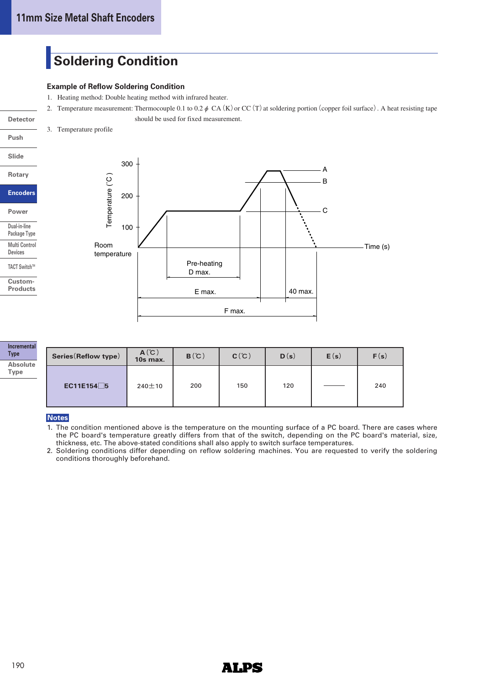# **Soldering Condition**

#### **Example of Reflow Soldering Condition**

- 1. Heating method: Double heating method with infrared heater.
- 2. Temperature measurement: Thermocouple 0.1 to 0.2  $\phi$  CA(K) or CC(T) at soldering portion (copper foil surface). A heat resisting tape should be used for fixed measurement.
- 3. Temperature profile

### **Push Slide**

**Detector**

**Rotary Encoders Power**

**Dual-in-line Package Type Multi Control Devices TACT SwitchTM Custom-Products**



| Series (Reflow type) | $A^{\circ}C$<br>10s max. | B(C) | C(C) | D(s) | E(s) | F(s) |
|----------------------|--------------------------|------|------|------|------|------|
| EC11E154□5           | $240 \pm 10$             | 200  | 150  | 120  |      | 240  |

#### **Notes**

- 1. The condition mentioned above is the temperature on the mounting surface of a PC board. There are cases where the PC board's temperature greatly differs from that of the switch, depending on the PC board's material, size, thickness, etc. The above-stated conditions shall also apply to switch surface temperatures.
- 2. Soldering conditions differ depending on reflow soldering machines. You are requested to verify the soldering conditions thoroughly beforehand.